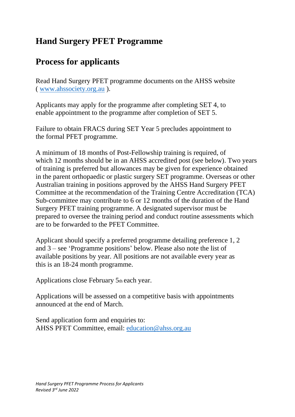## **Hand Surgery PFET Programme**

## **Process for applicants**

Read Hand Surgery PFET programme documents on the AHSS website ( [www.ahssociety.org.au](http://www.ahssociety.org.au/) ).

Applicants may apply for the programme after completing SET 4, to enable appointment to the programme after completion of SET 5.

Failure to obtain FRACS during SET Year 5 precludes appointment to the formal PFET programme.

A minimum of 18 months of Post-Fellowship training is required, of which 12 months should be in an AHSS accredited post (see below). Two years of training is preferred but allowances may be given for experience obtained in the parent orthopaedic or plastic surgery SET programme. Overseas or other Australian training in positions approved by the AHSS Hand Surgery PFET Committee at the recommendation of the Training Centre Accreditation (TCA) Sub-committee may contribute to 6 or 12 months of the duration of the Hand Surgery PFET training programme. A designated supervisor must be prepared to oversee the training period and conduct routine assessments which are to be forwarded to the PFET Committee.

Applicant should specify a preferred programme detailing preference 1, 2 and 3 – see 'Programme positions' below. Please also note the list of available positions by year. All positions are not available every year as this is an 18-24 month programme.

Applications close February 5th each year.

Applications will be assessed on a competitive basis with appointments announced at the end of March.

Send application form and enquiries to: AHSS PFET Committee, email: [education@ahss.org.au](mailto:education@ahss.org.au)